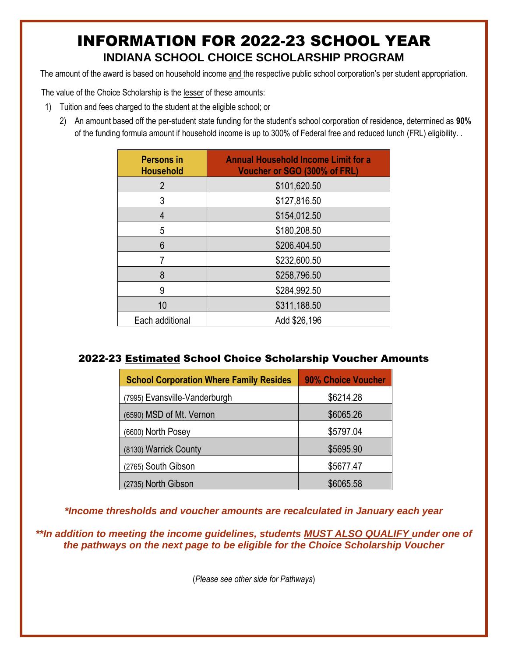# INFORMATION FOR 2022-23 SCHOOL YEAR **INDIANA SCHOOL CHOICE SCHOLARSHIP PROGRAM**

The amount of the award is based on household income and the respective public school corporation's per student appropriation.

The value of the Choice Scholarship is the lesser of these amounts:

- 1) Tuition and fees charged to the student at the eligible school; or
	- 2) An amount based off the per-student state funding for the student's school corporation of residence, determined as **90%**  of the funding formula amount if household income is up to 300% of Federal free and reduced lunch (FRL) eligibility. .

| <b>Persons in</b><br><b>Household</b> | <b>Annual Household Income Limit for a</b><br>Voucher or SGO (300% of FRL) |
|---------------------------------------|----------------------------------------------------------------------------|
| 2                                     | \$101,620.50                                                               |
| 3                                     | \$127,816.50                                                               |
| 4                                     | \$154,012.50                                                               |
| 5                                     | \$180,208.50                                                               |
| 6                                     | \$206.404.50                                                               |
|                                       | \$232,600.50                                                               |
| 8                                     | \$258,796.50                                                               |
| 9                                     | \$284,992.50                                                               |
| 10                                    | \$311,188.50                                                               |
| Each additional                       | Add \$26,196                                                               |

#### 2022-23 Estimated School Choice Scholarship Voucher Amounts

| <b>School Corporation Where Family Resides</b> | 90% Choice Voucher |
|------------------------------------------------|--------------------|
| (7995) Evansville-Vanderburgh                  | \$6214.28          |
| (6590) MSD of Mt. Vernon                       | \$6065.26          |
| (6600) North Posey                             | \$5797.04          |
| (8130) Warrick County                          | \$5695.90          |
| (2765) South Gibson                            | \$5677.47          |
| (2735) North Gibson                            | \$6065.58          |

*\*Income thresholds and voucher amounts are recalculated in January each year*

*\*\*In addition to meeting the income guidelines, students MUST ALSO QUALIFY under one of the pathways on the next page to be eligible for the Choice Scholarship Voucher*

(*Please see other side for Pathways*)